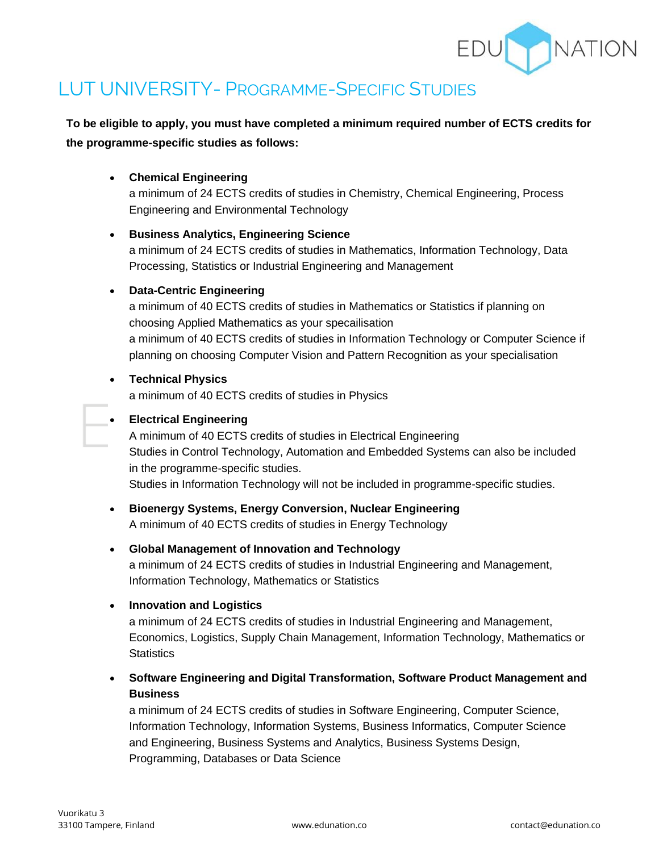

# LUT UNIVERSITY- PROGRAMME-SPECIFIC STUDIES

**To be eligible to apply, you must have completed a minimum required number of ECTS credits for the programme-specific studies as follows:**

• **Chemical Engineering**

a minimum of 24 ECTS credits of studies in Chemistry, Chemical Engineering, Process Engineering and Environmental Technology

#### • **Business Analytics, Engineering Science**

a minimum of 24 ECTS credits of studies in Mathematics, Information Technology, Data Processing, Statistics or Industrial Engineering and Management

#### • **Data-Centric Engineering**

a minimum of 40 ECTS credits of studies in Mathematics or Statistics if planning on choosing Applied Mathematics as your specailisation a minimum of 40 ECTS credits of studies in Information Technology or Computer Science if planning on choosing Computer Vision and Pattern Recognition as your specialisation

#### • **Technical Physics**

a minimum of 40 ECTS credits of studies in Physics

#### • **Electrical Engineering**

A minimum of 40 ECTS credits of studies in Electrical Engineering Studies in Control Technology, Automation and Embedded Systems can also be included in the programme-specific studies.

Studies in Information Technology will not be included in programme-specific studies.

• **Bioenergy Systems, Energy Conversion, Nuclear Engineering** A minimum of 40 ECTS credits of studies in Energy Technology

## • **Global Management of Innovation and Technology**

a minimum of 24 ECTS credits of studies in Industrial Engineering and Management, Information Technology, Mathematics or Statistics

#### • **Innovation and Logistics**

a minimum of 24 ECTS credits of studies in Industrial Engineering and Management, Economics, Logistics, Supply Chain Management, Information Technology, Mathematics or **Statistics** 

• **Software Engineering and Digital Transformation, Software Product Management and Business**

a minimum of 24 ECTS credits of studies in Software Engineering, Computer Science, Information Technology, Information Systems, Business Informatics, Computer Science and Engineering, Business Systems and Analytics, Business Systems Design, Programming, Databases or Data Science